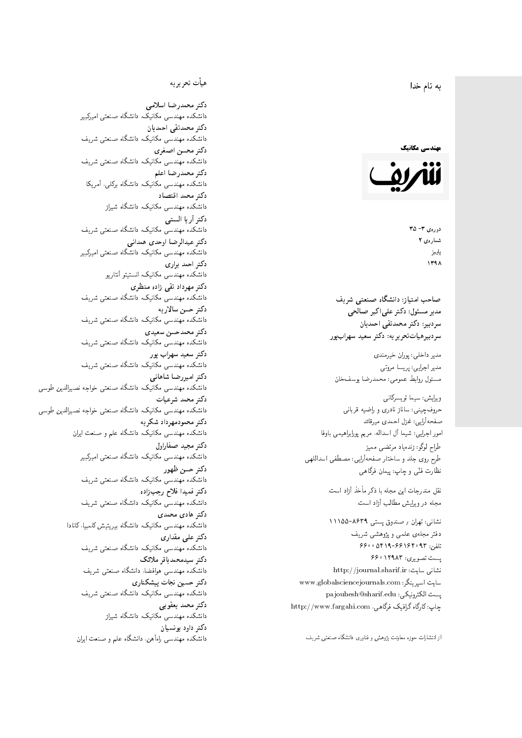#### 4 نام خدا  $\overline{\phantom{a}}$ ز<br>ن .<br>.

#### مهندسی مکانیک



دورهي ٣- ٣۵ شمارەي ۲ پاييز<br>. 1398

مدیر مسئول: دکتر علیاکبر صالحی  $\mathfrak{c}$ سردېيرهياتتحر ير يه: دکتر سعيد سهرابپور

مدير داخلي: پوران خيرمندی<br>ا مدير اجرايي: پريسا مروتي<br>. مسئول روابط عمومی: محمدرضا يوسفخان<br>.

ویرایش: سیما تویسرکان<sub>ی</sub><br>مسمد طراح لوگو: زندهیاد مرتضمی ممیز<br>ا طرح روی جلد و ساختار صفحهآرایی: مصطفی اسداللهی<br>مطلب منتقل ی و چاپ: پیمان فرگاهی<br>ا سردبير: دكتر محمدنقى احمديان<br>سردبيرهياتتحر يريه: دكتر سعيد سهراب پور<br>مدير اجرايى: پريسا مروتى<br>مسئول روابط عمومى: محمدرضا يوسف خان<br>ويرايش: سيما تويسركانى<br>حروفچينى: ساناز نادرى و راضيه قربانى<br>صفحهآرايى: شيما آل اسداله، مريع

نقل مندرجات این مجله با ذکر مأخذ آزاد است.<br>مجله در ویرایش مطالب آزاد است.

نشانی: تهران / صندوق پستی ۸۶۳۹-۱۱۱۵۵ دفتر مجلهى علمى و پژوهشى شريف 7600 06196-96169 و 960 یست تصویری: ۱۲۹۸۳ ۶۶۰ نشانی سایت: http://journal.sharif.ir<br>م سايت اسپرينگر: www.globalsciencejournals.com<br>دادم ساخت pajouhesh@sharif.edu :يست الكترونيكي: چاپ: کارگاه گرافیک فرگاهی، http://www.fargahi.com صماحب امتياز: دانشگاه صنعتى شريف<br>صماحب امتياز: دانشگاه صنعتى شريف<br>مدير سازمان دكتر عمل الحراب الحراب الحراب الحراب الحراب الحراب الحراب الحراب الحراب الحراب الحراب الحراب الحراب الحراب الحراب الحراب الحراب الحراب الحراب ا

#### هيأت تحريريه

دكتر محمدرضا اسلامى دانشکده مهندسی مکانیک، دانشگاه صنعتی امیرکبیر<br>محمد مستقد است است دکتر محمدتقی احمدیان دانشکده مهندسی مکانیک، دانشگاه صنعتی شریف<br>سم دكتر محسن اصغرى دانشکده مهندسی مکانیک، دانشگاه صنعتی شریف<br>محمد دكتر محمدرضا اعلم دانشکده مهندسی مکانیک، دانشگاه برکلی، آمریکا<br>محمد دكتر محمد اقتصاد دانشکده مهندسی مکانیک، دانشگاه شیراز<br>س <sup>A</sup> دكتر أريا الست<mark>ى</mark> دانشکده مهندسی مکانیک، دانشگاه صنعتی شریف<br>محمد سیالی و ایل میده دربیان دكتر عبدالرضا اوحدى همدانى دانشکده مهندسی مکانیک، دانشگاه صنعتی امیرکبیر<br>محمد است دکتر احمد براری دانشکده مهندسی مکانیک، انستیتو آنتاریو<br>س دکتر مهرداد تقی زاده منظری دانشکده مهندسی مکانیک، دانشگاه صنعتی شریف<br>سم دكتر حسن سالاريه دانشکده مهندسی مکانیک، دانشگاه صنعتی شریف<br>سم دکتر محمدحسن سعیدی دانشکده مهندسی مکانیک، دانشگاه صنعتی شریف<br>محمد دکتر سعید سهراب پور دانشکده مهندسی مکانیک، دانشگاه صنعتی شریف<br>محمد است و با داران م<br>. دکتر امیررضا شاهانی دانشکده مهندسی مکانیک، دانشگاه صنعتی خواجه نصیرالدین طوسی<br>محمد دكتر محمد شرعيات دانشکده مهندسی مکانیک، دانشگاه صنعتی خواجه نصیرالدین طوسی<br>م دكتر محمودمهرداد شكريه دانشکده مهندسی مکانیک، دانشگاه علم و صنعت ایران<br>م دكتر مجيد صفاراول مکانیک، دانشگاه صنعتی امیرکبیر<br>. دكتر حسن ظهور دانشکده مهندسی مکانیک، دانشگاه صنعتی شریف<br>سمست سایتاد دكتر فميدا فلاح رجب;إده دكتر هادى محمدى دانشکده مهندسی مکانیک، دانشگاه بیریتیش کلمبیا، کانادا<br>سمسید است دکتر علی مقداری دانشکده مهندسی مکانیک، دانشگاه صنعتی شریف<br>اسمه دکتر سیدمحمدباقر ملائک  $\overline{a}$ دانشکده مهندسی هوافضا، دانشگاه صنعتی شریف<br>محمد دکتر حسین نجات پیشکنار*ی* مکانیک، دانشگاه صنعتی شریف<br>. دكتر محمد يعقوبي دانشکده مهندسی مکانیک، دانشگاه شیراز<br>محمد را دکتر داود بونسیان دانشکده مهندسی راهآهن، دانشکاه علم و صنعت ایران<br>. دانشکده مهندسی مکانیک، دانشگاه صنعتی شریف<br>س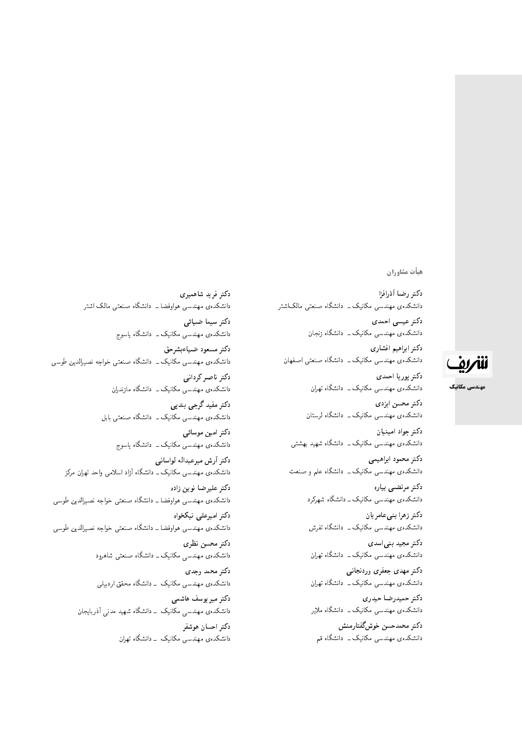هيأت مشاوران

دكتر رضا أذرافزا دانشکدهی مهندسی مکانیک ــ دانشگاه صنعتی مالک\شتر دكتر عيسى احمدى دانشکدهی مهندسی مکانیک <mark>ـ</mark> دانشگاه زنجان دكتر ابراهيم افشارى دانشکدهی مهندسی مکانیک ــ دانشگاه صنعتی اصفهان دكتر پوريا احمدي دانشکدهی مهندسی مکانیک ـــ دانشگاه تهران دكتر محسن ايزدى دانشکدهی مهندسی مکانیک ـــ دانشگاه لرستان دكتر جواد امينيان دانشکدہی مهندسی مکانیک ـــ دانشگاه شهید بهشتی دكتر محمود ابراهيمي دانشکدهی مهندسی مکانیک ــ دانشگاه علم و صنعت دكتر مرتضىي بياره دانشکدهی مهندسی مکانیک ــ دانشگاه شهرکرد دكتر زهرا بني عامر يان دانشکدهی مهندسی مکانیک ــ دانشگاه تفرش دکتر مجید بنی اسدی دانشکدهی مهندسی مکانیک ــ دانشگاه تهران دكتر مهدى جعفرى وردنجاني دانشکدهی مهندسی مکانیک ــ دانشگاه تهران دكتر حميدرضا حيدري دانشکدهی مهندسی مکانیک ــ دانشگاه ملایر دكتر محمدحسن خوشگفتارمنش دانشکدهی مهندسی مکانیک ــ دانشگاه قم

دكتر فريد شاهميرى دانشکدهی مهندسی هواوفضا ــ دانشگاه صنعتی مالک اشتر دكتر سيما ضيائي دانشکدهی مهندسی مکانیک ــ دانشگاه یاسوج دكتر مسعود ضياءبشرحق دانشکدهی مهندسی مکانیک ــ دانشگاه صنعتی خواجه نصیرالدین طوسی دكتر ناصر كردانى دانشکدهی مهندسی مکانیک ــ دانشگاه مازندران دكتر مفيد گرجي بندپي دانشکدهی مهندسی مکانیک ــ دانشگاه صنعتی بابل دکتر امین موسائی دانشکدهی مهندسی مکانیک ــ دانشگاه یاسوج دكتر أرش ميرعبداله لواسانى دانشکده ی مهندسی مکانیک ــ دانشگاه آزاد اسلامی واحد تهران مرکز دكتر عليرضا نوين زاده دانشکدهی مهندسی هواوفضا ــ دانشگاه صنعتی خواجه نصیرالدین طوسی دكتر اميرعلى نيكخواه دانشکدهی مهندسی هواوفضا ــ دانشگاه صنعتبی خواجه نصیرالدین طوسی دكتر محسن نظرى دانشکدهی مهندسی مکانیک ــ دانشگاه صنعتی شاهرود دكتر محمد وجدى دانشکدهی مهندسی مکانیک - دانشگاه محقق اردبیلی دکتر میریوسف هاشمی دانشکدهی مهندس<sub>ی</sub> مکانیک - دانشگاه شهید مدن<sub>ی</sub> آذربایجان دكتر احسان هوشفر

دانشکدهی مهندسی مکانیک - دانشگاه تهران

# للمركف

مهندسی مکانیک